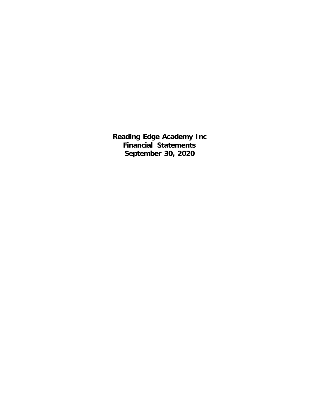**Reading Edge Academy Inc Financial Statements September 30, 2020**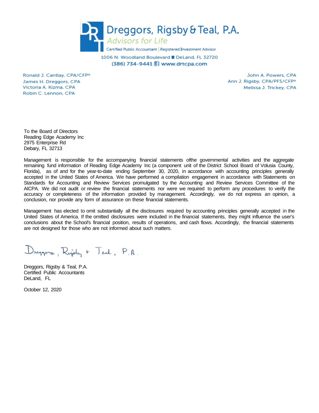

1006 N. Woodland Boulevard DeLand, FL 32720 (386) 734-9441 Www.drtcpa.com

Ronald J. Cantlay, CPA/CFP® James H. Dreggors, CPA Victoria A. Kizma, CPA Robin C. Lennon, CPA

John A. Powers, CPA Ann J. Rigsby, CPA/PFS/CFP<sup>®</sup> Melissa J. Trickey, CPA

To the Board of Directors Reading Edge Academy Inc 2975 Enterprise Rd Debary, FL 32713

Management is responsible for the accompanying financial statements ofthe governmental activities and the aggregate remaining fund information of Reading Edge Academy Inc (a component unit of the District School Board of Volusia County, Florida), as of and for the year-to-date ending September 30, 2020, in accordance with accounting principles generally accepted in the United States of America. We have performed a compilation engagement in accordance with Statements on Standards for Accounting and Review Services promulgated by the Accounting and Review Services Committee of the AICPA. We did not audit or review the financial statements nor were we required to perform any procedures to verify the accuracy or completeness of the information provided by management. Accordingly, we do not express an opinion, a conclusion, nor provide any form of assurance on these financial statements.

Management has elected to omit substantially all the disclosures required by accounting principles generally accepted in the United States of America. If the omitted disclosures were included in the financial statements, they might influence the user's conclusions about the School's financial position, results of operations, and cash flows. Accordingly, the financial statements are not designed for those who are not informed about such matters.

Dreppers, Right + Teal, P.A.

Dreggors, Rigsby & Teal, P.A. Certified Public Accountants DeLand, FL

October 12, 2020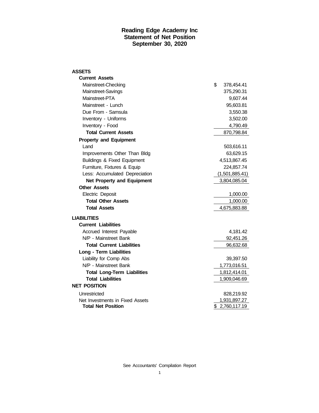### **Reading Edge Academy Inc Statement of Net Position September 30, 2020**

| <b>ASSETS</b>                      |                  |
|------------------------------------|------------------|
| <b>Current Assets</b>              |                  |
| Mainstreet-Checking                | \$<br>378,454.41 |
| Mainstreet-Savings                 | 375,290.31       |
| Mainstreet-PTA                     | 9,607.44         |
| Mainstreet - Lunch                 | 95,603.81        |
| Due From - Samsula                 | 3,550.38         |
| Inventory - Uniforms               | 3,502.00         |
| Inventory - Food                   | 4,790.49         |
| <b>Total Current Assets</b>        | 870,798.84       |
| <b>Property and Equipment</b>      |                  |
| Land                               | 503,616.11       |
| Improvements Other Than Bldg       | 63,629.15        |
| Buildings & Fixed Equipment        | 4,513,867.45     |
| Furniture, Fixtures & Equip        | 224,857.74       |
| Less: Accumulated Depreciation     | (1,501,885.41)   |
| <b>Net Property and Equipment</b>  | 3,804,085.04     |
| <b>Other Assets</b>                |                  |
| Electric Deposit                   | 1,000.00         |
| <b>Total Other Assets</b>          | 1,000.00         |
| <b>Total Assets</b>                | 4,675,883.88     |
| <b>LIABILITIES</b>                 |                  |
| <b>Current Liabilities</b>         |                  |
| Accrued Interest Payable           | 4,181.42         |
| N/P - Mainstreet Bank              | 92,451.26        |
| <b>Total Current Liabilities</b>   | 96,632.68        |
| <b>Long - Term Liabilities</b>     |                  |
| Liability for Comp Abs             | 39,397.50        |
| N/P - Mainstreet Bank              | 1,773,016.51     |
| <b>Total Long-Term Liabilities</b> | 1,812,414.01     |
| <b>Total Liabilities</b>           | 1,909,046.69     |
| <b>NET POSITION</b>                |                  |
| Unrestricted                       | 828,219.92       |
| Net Investments in Fixed Assets    | 1,931,897.27     |
| <b>Total Net Position</b>          | \$2,760,117.19   |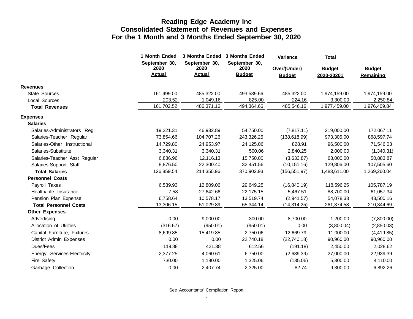|                               | 1 Month Ended         |                       | 3 Months Ended 3 Months Ended | Variance                      | <b>Total</b>  |                            |
|-------------------------------|-----------------------|-----------------------|-------------------------------|-------------------------------|---------------|----------------------------|
|                               | September 30,<br>2020 | September 30,<br>2020 | September 30,<br>2020         |                               | <b>Budget</b> |                            |
|                               | <b>Actual</b>         | <b>Actual</b>         | <b>Budget</b>                 | Over/(Under)<br><b>Budget</b> | 2020-20201    | <b>Budget</b><br>Remaining |
| <b>Revenues</b>               |                       |                       |                               |                               |               |                            |
| <b>State Sources</b>          | 161,499.00            | 485,322.00            | 493,539.66                    | 485,322.00                    | 1,974,159.00  | 1,974,159.00               |
| Local Sources                 | 203.52                | 1,049.16              | 825.00                        | 224.16                        | 3,300.00      | 2,250.84                   |
| <b>Total Revenues</b>         | 161,702.52            | 486,371.16            | 494,364.66                    | 485,546.16                    | 1,977,459.00  | 1,976,409.84               |
| <b>Expenses</b>               |                       |                       |                               |                               |               |                            |
| <b>Salaries</b>               |                       |                       |                               |                               |               |                            |
| Salaries-Administrators Reg   | 19,221.31             | 46,932.89             | 54,750.00                     | (7, 817.11)                   | 219,000.00    | 172,067.11                 |
| Salaries-Teacher Regular      | 73,854.66             | 104,707.26            | 243,326.25                    | (138, 618.99)                 | 973,305.00    | 868,597.74                 |
| Salaries-Other Instructional  | 14,729.80             | 24,953.97             | 24,125.06                     | 828.91                        | 96,500.00     | 71,546.03                  |
| Salaries-Substitute           | 3,340.31              | 3,340.31              | 500.06                        | 2,840.25                      | 2,000.00      | (1,340.31)                 |
| Salaries-Teacher Asst Regular | 6,836.96              | 12,116.13             | 15,750.00                     | (3,633.87)                    | 63,000.00     | 50,883.87                  |
| Salaries-Support Staff        | 8,876.50              | 22,300.40             | 32,451.56                     | (10, 151.16)                  | 129,806.00    | 107,505.60                 |
| <b>Total Salaries</b>         | 126,859.54            | 214,350.96            | 370,902.93                    | (156, 551.97)                 | 1,483,611.00  | 1,269,260.04               |
| <b>Personnel Costs</b>        |                       |                       |                               |                               |               |                            |
| Payroll Taxes                 | 6,539.93              | 12,809.06             | 29,649.25                     | (16, 840.19)                  | 118,596.25    | 105,787.19                 |
| Health/Life Insurance         | 7.58                  | 27,642.66             | 22,175.15                     | 5,467.51                      | 88,700.00     | 61,057.34                  |
| Pension Plan Expense          | 6,758.64              | 10.578.17             | 13,519.74                     | (2,941.57)                    | 54,078.33     | 43,500.16                  |
| <b>Total Personnel Costs</b>  | 13,306.15             | 51,029.89             | 65,344.14                     | (14, 314.25)                  | 261,374.58    | 210,344.69                 |
| <b>Other Expenses</b>         |                       |                       |                               |                               |               |                            |
| Advertising                   | 0.00                  | 9,000.00              | 300.00                        | 8,700.00                      | 1,200.00      | (7,800.00)                 |
| Allocation of Utilities       | (316.67)              | (950.01)              | (950.01)                      | 0.00                          | (3,800.04)    | (2,850.03)                 |
| Capital Furniture, Fixtures   | 8,699.85              | 15,419.85             | 2,750.06                      | 12,669.79                     | 11,000.00     | (4, 419.85)                |
| District Admin Expenses       | 0.00                  | 0.00                  | 22,740.18                     | (22,740.18)                   | 90,960.00     | 90,960.00                  |
| Dues/Fees                     | 119.88                | 421.38                | 612.56                        | (191.18)                      | 2,450.00      | 2,028.62                   |
| Energy Services-Electricity   | 2,377.25              | 4,060.61              | 6,750.00                      | (2,689.39)                    | 27,000.00     | 22,939.39                  |
| Fire Safety                   | 730.00                | 1,190.00              | 1,325.06                      | (135.06)                      | 5,300.00      | 4,110.00                   |
| Garbage Collection            | 0.00                  | 2,407.74              | 2,325.00                      | 82.74                         | 9,300.00      | 6,892.26                   |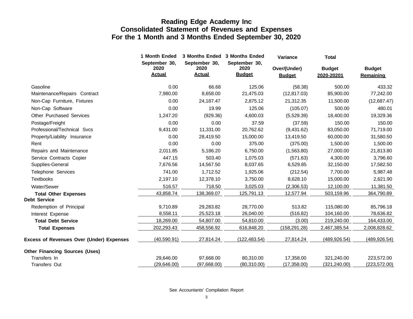|                                                 | 1 Month Ended                          |                                        | 3 Months Ended 3 Months Ended          | Variance                      | <b>Total</b>                |                                   |
|-------------------------------------------------|----------------------------------------|----------------------------------------|----------------------------------------|-------------------------------|-----------------------------|-----------------------------------|
|                                                 | September 30,<br>2020<br><b>Actual</b> | September 30,<br>2020<br><b>Actual</b> | September 30,<br>2020<br><b>Budget</b> | Over/(Under)<br><b>Budget</b> | <b>Budget</b><br>2020-20201 | <b>Budget</b><br><b>Remaining</b> |
| Gasoline                                        | 0.00                                   | 66.68                                  | 125.06                                 | (58.38)                       | 500.00                      | 433.32                            |
| Maintenance/Repairs Contract                    | 7,980.00                               | 8,658.00                               | 21,475.03                              | (12, 817.03)                  | 85,900.00                   | 77,242.00                         |
| Non-Cap Furniture, Fixtures                     | 0.00                                   | 24,187.47                              | 2,875.12                               | 21,312.35                     | 11,500.00                   | (12,687.47)                       |
| Non-Cap Software                                | 0.00                                   | 19.99                                  | 125.06                                 | (105.07)                      | 500.00                      | 480.01                            |
| <b>Other Purchased Services</b>                 | 1,247.20                               | (929.36)                               | 4,600.03                               | (5,529.39)                    | 18,400.00                   | 19,329.36                         |
| Postage/Freight                                 | 0.00                                   | 0.00                                   | 37.59                                  | (37.59)                       | 150.00                      | 150.00                            |
| Professional/Technical Svcs                     | 9,431.00                               | 11,331.00                              | 20,762.62                              | (9,431.62)                    | 83,050.00                   | 71,719.00                         |
| Property/Liability Insurance                    | 0.00                                   | 28,419.50                              | 15,000.00                              | 13,419.50                     | 60,000.00                   | 31,580.50                         |
| Rent                                            | 0.00                                   | 0.00                                   | 375.00                                 | (375.00)                      | 1,500.00                    | 1,500.00                          |
| Repairs and Maintenance                         | 2,011.85                               | 5,186.20                               | 6,750.00                               | (1,563.80)                    | 27,000.00                   | 21,813.80                         |
| Service Contracts Copier                        | 447.15                                 | 503.40                                 | 1,075.03                               | (571.63)                      | 4,300.00                    | 3,796.60                          |
| Supplies-General                                | 7,676.56                               | 14,567.50                              | 8,037.65                               | 6,529.85                      | 32,150.00                   | 17,582.50                         |
| Telephone Services                              | 741.00                                 | 1,712.52                               | 1,925.06                               | (212.54)                      | 7,700.00                    | 5,987.48                          |
| <b>Textbooks</b>                                | 2,197.10                               | 12,378.10                              | 3,750.00                               | 8,628.10                      | 15,000.00                   | 2,621.90                          |
| Water/Sewer                                     | 516.57                                 | 718.50                                 | 3,025.03                               | (2,306.53)                    | 12,100.00                   | 11,381.50                         |
| <b>Total Other Expenses</b>                     | 43,858.74                              | 138,369.07                             | 125,791.13                             | 12,577.94                     | 503,159.96                  | 364,790.89                        |
| <b>Debt Service</b>                             |                                        |                                        |                                        |                               |                             |                                   |
| Redemption of Principal                         | 9,710.89                               | 29,283.82                              | 28,770.00                              | 513.82                        | 115,080.00                  | 85,796.18                         |
| Interest Expense                                | 8,558.11                               | 25,523.18                              | 26,040.00                              | (516.82)                      | 104,160.00                  | 78,636.82                         |
| <b>Total Debt Service</b>                       | 18,269.00                              | 54,807.00                              | 54,810.00                              | (3.00)                        | 219,240.00                  | 164,433.00                        |
| <b>Total Expenses</b>                           | 202,293.43                             | 458,556.92                             | 616,848.20                             | (158, 291.28)                 | 2,467,385.54                | 2,008,828.62                      |
| <b>Excess of Revenues Over (Under) Expenses</b> | (40, 590.91)                           | 27,814.24                              | (122, 483.54)                          | 27,814.24                     | (489, 926.54)               | (489, 926.54)                     |
| <b>Other Financing Sources (Uses)</b>           |                                        |                                        |                                        |                               |                             |                                   |
| Transfers In                                    | 29,646.00                              | 97,668.00                              | 80,310.00                              | 17,358.00                     | 321,240.00                  | 223,572.00                        |
| Transfers Out                                   | (29,646.00)                            | (97,668.00)                            | (80,310.00)                            | (17, 358.00)                  | (321, 240.00)               | (223, 572.00)                     |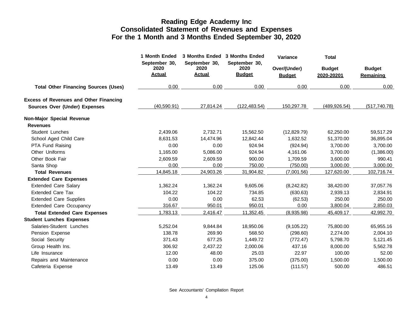|                                               | 1 Month Ended                          | <b>3 Months Ended</b>                  | 3 Months Ended                         | Variance                      | <b>Total</b>                |                            |
|-----------------------------------------------|----------------------------------------|----------------------------------------|----------------------------------------|-------------------------------|-----------------------------|----------------------------|
|                                               | September 30,<br>2020<br><b>Actual</b> | September 30,<br>2020<br><b>Actual</b> | September 30,<br>2020<br><b>Budget</b> | Over/(Under)<br><b>Budget</b> | <b>Budget</b><br>2020-20201 | <b>Budget</b><br>Remaining |
| <b>Total Other Financing Sources (Uses)</b>   | 0.00                                   | 0.00                                   | 0.00                                   | 0.00                          | 0.00                        | 0.00                       |
| <b>Excess of Revenues and Other Financing</b> |                                        |                                        |                                        |                               |                             |                            |
| Sources Over (Under) Expenses                 | (40,590.91)                            | 27,814.24                              | (122, 483.54)                          | 150,297.78                    | (489, 926.54)               | (517, 740.78)              |
| Non-Major Special Revenue                     |                                        |                                        |                                        |                               |                             |                            |
| <b>Revenues</b>                               |                                        |                                        |                                        |                               |                             |                            |
| <b>Student Lunches</b>                        | 2,439.06                               | 2,732.71                               | 15,562.50                              | (12,829.79)                   | 62,250.00                   | 59,517.29                  |
| School Aged Child Care                        | 8,631.53                               | 14,474.96                              | 12,842.44                              | 1,632.52                      | 51,370.00                   | 36,895.04                  |
| PTA Fund Raising                              | 0.00                                   | 0.00                                   | 924.94                                 | (924.94)                      | 3,700.00                    | 3,700.00                   |
| Other Uniforms                                | 1,165.00                               | 5,086.00                               | 924.94                                 | 4,161.06                      | 3,700.00                    | (1,386.00)                 |
| Other Book Fair                               | 2,609.59                               | 2,609.59                               | 900.00                                 | 1,709.59                      | 3,600.00                    | 990.41                     |
| Santa Shop                                    | 0.00                                   | 0.00                                   | 750.00                                 | (750.00)                      | 3,000.00                    | 3,000.00                   |
| <b>Total Revenues</b>                         | 14,845.18                              | 24,903.26                              | 31,904.82                              | (7,001.56)                    | 127,620.00                  | 102,716.74                 |
| <b>Extended Care Expenses</b>                 |                                        |                                        |                                        |                               |                             |                            |
| <b>Extended Care Salary</b>                   | 1,362.24                               | 1,362.24                               | 9,605.06                               | (8,242.82)                    | 38,420.00                   | 37,057.76                  |
| <b>Extended Care Tax</b>                      | 104.22                                 | 104.22                                 | 734.85                                 | (630.63)                      | 2,939.13                    | 2,834.91                   |
| <b>Extended Care Supplies</b>                 | 0.00                                   | 0.00                                   | 62.53                                  | (62.53)                       | 250.00                      | 250.00                     |
| <b>Extended Care Occupancy</b>                | 316.67                                 | 950.01                                 | 950.01                                 | 0.00                          | 3,800.04                    | 2,850.03                   |
| <b>Total Extended Care Expenses</b>           | 1,783.13                               | 2,416.47                               | 11,352.45                              | (8,935.98)                    | 45,409.17                   | 42,992.70                  |
| <b>Student Lunches Expenses</b>               |                                        |                                        |                                        |                               |                             |                            |
| Salaries-Student Lunches                      | 5,252.04                               | 9,844.84                               | 18,950.06                              | (9, 105.22)                   | 75,800.00                   | 65,955.16                  |
| Pension Expense                               | 138.78                                 | 269.90                                 | 568.50                                 | (298.60)                      | 2,274.00                    | 2,004.10                   |
| Social Security                               | 371.43                                 | 677.25                                 | 1,449.72                               | (772.47)                      | 5,798.70                    | 5,121.45                   |
| Group Health Ins.                             | 306.92                                 | 2,437.22                               | 2,000.06                               | 437.16                        | 8,000.00                    | 5,562.78                   |
| Life Insurance                                | 12.00                                  | 48.00                                  | 25.03                                  | 22.97                         | 100.00                      | 52.00                      |
| Repairs and Maintenance                       | 0.00                                   | 0.00                                   | 375.00                                 | (375.00)                      | 1,500.00                    | 1,500.00                   |
| Cafeteria Expense                             | 13.49                                  | 13.49                                  | 125.06                                 | (111.57)                      | 500.00                      | 486.51                     |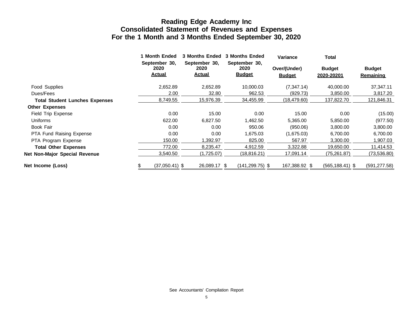|                                       | 1 Month Ended<br>September 30, | <b>3 Months Ended</b><br>September 30, | <b>3 Months Ended</b><br>September 30, | <b>Variance</b>               | Total                       |                            |
|---------------------------------------|--------------------------------|----------------------------------------|----------------------------------------|-------------------------------|-----------------------------|----------------------------|
|                                       | 2020<br><b>Actual</b>          | 2020<br><u>Actual</u>                  | 2020<br><b>Budget</b>                  | Over/(Under)<br><b>Budget</b> | <b>Budget</b><br>2020-20201 | <b>Budget</b><br>Remaining |
| Food Supplies                         | 2,652.89                       | 2,652.89                               | 10,000.03                              | (7, 347.14)                   | 40,000.00                   | 37,347.11                  |
| Dues/Fees                             | 2.00                           | 32.80                                  | 962.53                                 | (929.73)                      | 3,850.00                    | 3,817.20                   |
| <b>Total Student Lunches Expenses</b> | 8,749.55                       | 15,976.39                              | 34,455.99                              | (18,479.60)                   | 137,822.70                  | 121,846.31                 |
| <b>Other Expenses</b>                 |                                |                                        |                                        |                               |                             |                            |
| Field Trip Expense                    | 0.00                           | 15.00                                  | 0.00                                   | 15.00                         | 0.00                        | (15.00)                    |
| Uniforms                              | 622.00                         | 6,827.50                               | 1,462.50                               | 5,365.00                      | 5,850.00                    | (977.50)                   |
| Book Fair                             | 0.00                           | 0.00                                   | 950.06                                 | (950.06)                      | 3,800.00                    | 3,800.00                   |
| <b>PTA Fund Raising Expense</b>       | 0.00                           | 0.00                                   | 1,675.03                               | (1,675.03)                    | 6,700.00                    | 6,700.00                   |
| PTA Program Expense                   | 150.00                         | 1,392.97                               | 825.00                                 | 567.97                        | 3,300.00                    | 1,907.03                   |
| <b>Total Other Expenses</b>           | 772.00                         | 8,235.47                               | 4.912.59                               | 3,322.88                      | 19,650.00                   | 11,414.53                  |
| <b>Net Non-Major Special Revenue</b>  | 3,540.50                       | (1,725.07)                             | (18,816.21)                            | 17,091.14                     | (75,261.87)                 | (73,536.80)                |
| Net Income (Loss)                     | $(37,050.41)$ \$               | 26.089.17 \$                           | $(141, 299.75)$ \$                     | 167,388.92 \$                 | $(565, 188.41)$ \$          | (591, 277.58)              |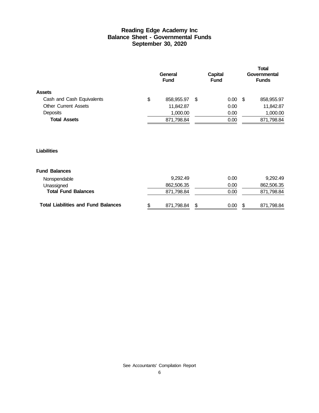### **Reading Edge Academy Inc Balance Sheet - Governmental Funds September 30, 2020**

|                             | General<br><b>Fund</b> |   | <b>Capital</b><br><b>Fund</b> |      | <b>Total</b><br>Governmental<br><b>Funds</b> |
|-----------------------------|------------------------|---|-------------------------------|------|----------------------------------------------|
| <b>Assets</b>               |                        |   |                               |      |                                              |
| Cash and Cash Equivalents   | \$<br>858,955.97       | S | 0.00 <sub>1</sub>             | - \$ | 858,955.97                                   |
| <b>Other Current Assets</b> | 11,842.87              |   | 0.00                          |      | 11,842.87                                    |
| Deposits                    | 1,000.00               |   | 0.00                          |      | 1,000.00                                     |
| <b>Total Assets</b>         | 871,798.84             |   | 0.00                          |      | 871,798.84                                   |
|                             |                        |   |                               |      |                                              |

#### **Liabilities**

#### **Fund Balances**

| <b>Total Liabilities and Fund Balances</b> | 871.798.84 | S | 0.00 | 871.798.84 |
|--------------------------------------------|------------|---|------|------------|
| <b>Total Fund Balances</b>                 | 871.798.84 |   | 0.00 | 871,798.84 |
| Unassigned                                 | 862,506,35 |   | 0.00 | 862,506.35 |
| Nonspendable                               | 9.292.49   |   | 0.00 | 9.292.49   |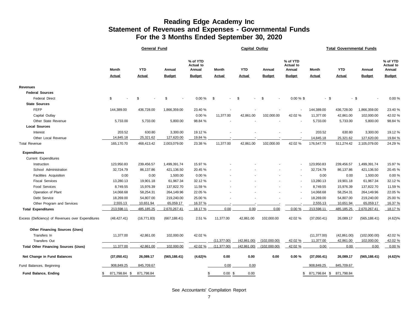### **Reading Edge Academy Inc Statement of Revenues and Expenses - Governmental Funds For the 3 Months Ended September 30, 2020**

|                                                   | <b>General Fund</b> |                                                                |                                |            |               |               | <b>Capital Outlay</b> |                                 |                          | <b>Total Governmental Funds</b> |               |                                        |  |  |  |
|---------------------------------------------------|---------------------|----------------------------------------------------------------|--------------------------------|------------|---------------|---------------|-----------------------|---------------------------------|--------------------------|---------------------------------|---------------|----------------------------------------|--|--|--|
|                                                   | Month               | % of YTD<br><b>Actual to</b><br><b>YTD</b><br>Annual<br>Annual |                                |            | Month         | <b>YTD</b>    | Annual                | % of YTD<br>Actual to<br>Annual | Month                    | <b>YTD</b>                      | Annual        | % of YTD<br><b>Actual to</b><br>Annual |  |  |  |
|                                                   | <b>Actual</b>       | <b>Actual</b>                                                  | <b>Budget</b><br><b>Budget</b> |            | <b>Actual</b> | <b>Actual</b> | <b>Budget</b>         | <b>Budget</b>                   | <b>Actual</b>            | <b>Actual</b>                   | <b>Budget</b> | <b>Budget</b>                          |  |  |  |
| Revenues                                          |                     |                                                                |                                |            |               |               |                       |                                 |                          |                                 |               |                                        |  |  |  |
| <b>Federal Sources</b>                            |                     |                                                                |                                |            |               |               |                       |                                 |                          |                                 |               |                                        |  |  |  |
| <b>Federal Direct</b>                             | \$                  | \$                                                             | \$                             | $0.00 \%$  | \$            | \$            | -\$                   | $0.00 \%$ \$                    | $-$ \$                   | $-$ \$                          |               | 0.00 %                                 |  |  |  |
| <b>State Sources</b>                              |                     |                                                                |                                |            |               |               |                       |                                 |                          |                                 |               |                                        |  |  |  |
| <b>FEFP</b>                                       | 144,389.00          | 436,728.00                                                     | 1,866,359.00                   | 23.40 %    |               |               |                       |                                 | 144,389.00               | 436,728.00                      | 1,866,359.00  | 23.40 %                                |  |  |  |
| Capital Outlay                                    |                     |                                                                |                                | 0.00%      | 11,377.00     | 42,861.00     | 102,000.00            | 42.02 %                         | 11,377.00                | 42,861.00                       | 102,000.00    | 42.02 %                                |  |  |  |
| Other State Revenue                               | 5,733.00            | 5,733.00                                                       | 5,800.00                       | 98.84 %    |               |               |                       |                                 | 5,733.00                 | 5,733.00                        | 5,800.00      | 98.84 %                                |  |  |  |
| <b>Local Sources</b>                              |                     |                                                                |                                |            |               |               |                       |                                 |                          |                                 |               |                                        |  |  |  |
| Interest                                          | 203.52              | 630.80                                                         | 3,300.00                       | 19.12 %    |               |               |                       |                                 | 203.52                   | 630.80                          | 3,300.00      | 19.12 %                                |  |  |  |
| Other Local Revenue                               | 14,845.18           | 25,321.62                                                      | 127,620.00                     | 19.84 %    |               |               |                       |                                 | 14,845.18                | 25,321.62                       | 127,620.00    | 19.84 %                                |  |  |  |
| <b>Total Revenue</b>                              | 165,170.70          | 468,413.42                                                     | 2,003,079.00                   | 23.38 %    | 11,377.00     | 42,861.00     | 102,000.00            | 42.02 %                         | 176,547.70               | 511,274.42                      | 2,105,079.00  | 24.29 %                                |  |  |  |
| <b>Expenditures</b>                               |                     |                                                                |                                |            |               |               |                       |                                 |                          |                                 |               |                                        |  |  |  |
| Current Expenditures                              |                     |                                                                |                                |            |               |               |                       |                                 |                          |                                 |               |                                        |  |  |  |
| Instruction                                       | 123,950.83          | 239,456.57                                                     | 1,499,391.74                   | 15.97 %    |               |               |                       | $\overline{a}$                  | 123,950.83               | 239,456.57                      | 1,499,391.74  | 15.97 %                                |  |  |  |
| School Administration                             | 32,724.79           | 86,137.86                                                      | 421,136.50                     | 20.45 %    |               |               |                       |                                 | 32,724.79                | 86,137.86                       | 421,136.50    | 20.45 %                                |  |  |  |
| Facilities Acquisition                            | 0.00                | 0.00                                                           | 1,500.00                       | 0.00%      |               |               |                       | $\overline{a}$                  | 0.00                     | 0.00                            | 1,500.00      | 0.00%                                  |  |  |  |
| <b>Fiscal Services</b>                            | 13,280.13           | 19,901.18                                                      | 61,967.34                      | 32.12 %    |               |               |                       | $\overline{a}$                  | 13,280.13                | 19,901.18                       | 61,967.34     | 32.12 %                                |  |  |  |
| <b>Food Services</b>                              | 8,749.55            | 15,976.39                                                      | 137,822.70                     | 11.59 %    |               |               |                       |                                 | 8,749.55                 | 15,976.39                       | 137,822.70    | 11.59 %                                |  |  |  |
| Operation of Plant                                | 14,068.68           | 58,254.31                                                      | 264,149.96                     | 22.05 %    |               |               |                       |                                 | 14,068.68                | 58,254.31                       | 264,149.96    | 22.05 %                                |  |  |  |
| Debt Service                                      | 18,269.00           | 54,807.00                                                      | 219,240.00                     | 25.00 %    |               |               |                       |                                 | 18,269.00                | 54,807.00                       | 219,240.00    | 25.00 %                                |  |  |  |
| Other Program and Services                        | 2,555.13            | 10,651.94                                                      | 65,059.17                      | 16.37 %    |               |               |                       |                                 | 2,555.13                 | 10,651.94                       | 65,059.17     | 16.37 %                                |  |  |  |
| <b>Total Expenditures</b>                         | 213,598.11          | 485,185.25                                                     | 2,670,267.41                   | 18.17 %    | 0.00          | 0.00          | 0.00                  | 0.00%                           | 213,598.11               | 485,185.25                      | 2,670,267.41  | 18.17 %                                |  |  |  |
| Excess (Deficiency) of Revenues over Expenditures | (48, 427.41)        | (16, 771.83)                                                   | (667, 188.41)                  | 2.51 %     | 11,377.00     | 42,861.00     | 102,000.00            | 42.02 %                         | (37,050.41)              | 26,089.17                       | (565, 188.41) | $(4.62)\%$                             |  |  |  |
| <b>Other Financing Sources (Uses)</b>             |                     |                                                                |                                |            |               |               |                       |                                 |                          |                                 |               |                                        |  |  |  |
| Transfers In                                      | 11,377.00           | 42,861.00                                                      | 102,000.00                     | 42.02 %    |               |               |                       |                                 | (11, 377.00)             | (42, 861.00)                    | (102,000.00)  | 42.02 %                                |  |  |  |
| <b>Transfers Out</b>                              |                     |                                                                |                                |            | (11, 377.00)  | (42, 861.00)  | (102,000.00)          | 42.02 %                         | 11,377.00                | 42,861.00                       | 102,000.00    | 42.02 %                                |  |  |  |
| <b>Total Other Financing Sources (Uses)</b>       | 11,377.00           | 42,861.00                                                      | 102,000.00                     | 42.02 %    | (11, 377.00)  | (42,861.00)   | (102,000.00)          | 42.02 %                         | 0.00                     | 0.00                            | 0.00          | 0.00%                                  |  |  |  |
| Net Change in Fund Balances                       | (37,050.41)         | 26,089.17                                                      | (565, 188.41)                  | $(4.62)\%$ | 0.00          | 0.00          | 0.00                  | 0.00%                           | (37,050.41)              | 26,089.17                       | (565, 188.41) | $(4.62)\%$                             |  |  |  |
| Fund Balances, Beginning                          | 908,849.25          | 845,709.67                                                     |                                |            | 0.00          | 0.00          |                       |                                 | 908,849.25               | 845,709.67                      |               |                                        |  |  |  |
| <b>Fund Balance, Ending</b><br>\$                 | 871,798.84 \$       | 871,798.84                                                     |                                | \$         | $0.00$ \$     | 0.00          |                       | \$                              | 871,798.84 \$ 871,798.84 |                                 |               |                                        |  |  |  |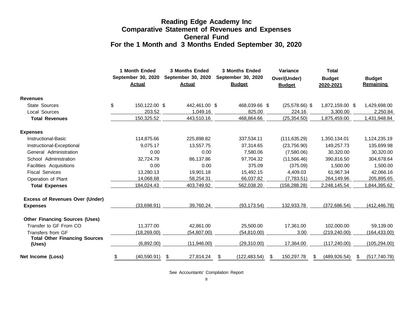# **Reading Edge Academy Inc Comparative Statement of Revenues and Expenses General Fund For the 1 Month and 3 Months Ended September 30, 2020**

|                                                | 1 Month Ended<br>September 30, 2020<br><b>Actual</b> | <b>Actual</b>   | <b>3 Months Ended</b><br>September 30, 2020<br>September 30, 2020 |                    |   | <b>Variance</b><br>Over/(Under)<br><b>Budget</b> |   | <b>Total</b><br><b>Budget</b><br>2020-2021 |   | <b>Budget</b><br>Remaining |  |
|------------------------------------------------|------------------------------------------------------|-----------------|-------------------------------------------------------------------|--------------------|---|--------------------------------------------------|---|--------------------------------------------|---|----------------------------|--|
| <b>Revenues</b>                                |                                                      |                 |                                                                   |                    |   |                                                  |   |                                            |   |                            |  |
| <b>State Sources</b>                           | \$<br>150,122.00 \$                                  | 442,461.00 \$   |                                                                   | 468,039.66 \$      |   | $(25,578.66)$ \$                                 |   | 1,872,159.00 \$                            |   | 1,429,698.00               |  |
| Local Sources                                  | 203.52                                               | 1,049.16        |                                                                   | 825.00             |   | 224.16                                           |   | 3,300.00                                   |   | 2,250.84                   |  |
| <b>Total Revenues</b>                          | 150,325.52                                           | 443,510.16      |                                                                   | 468,864.66         |   | (25, 354.50)                                     |   | 1,875,459.00                               |   | 1,431,948.84               |  |
| <b>Expenses</b>                                |                                                      |                 |                                                                   |                    |   |                                                  |   |                                            |   |                            |  |
| <b>Instructional-Basic</b>                     | 114,875.66                                           | 225,898.82      |                                                                   | 337,534.11         |   | (111, 635.29)                                    |   | 1,350,134.01                               |   | 1,124,235.19               |  |
| Instructional-Exceptional                      | 9,075.17                                             | 13,557.75       |                                                                   | 37,314.65          |   | (23,756.90)                                      |   | 149,257.73                                 |   | 135,699.98                 |  |
| General Administration                         | 0.00                                                 | 0.00            |                                                                   | 7,580.06           |   | (7,580.06)                                       |   | 30,320.00                                  |   | 30,320.00                  |  |
| School Administration                          | 32,724.79                                            | 86,137.86       |                                                                   | 97,704.32          |   | (11,566.46)                                      |   | 390,816.50                                 |   | 304,678.64                 |  |
| Facilities Acquisitions                        | 0.00                                                 | 0.00            |                                                                   | 375.09             |   | (375.09)                                         |   | 1,500.00                                   |   | 1,500.00                   |  |
| <b>Fiscal Services</b>                         | 13,280.13                                            | 19,901.18       |                                                                   | 15,492.15          |   | 4,409.03                                         |   | 61,967.34                                  |   | 42,066.16                  |  |
| Operation of Plant                             | 14,068.68                                            | 58,254.31       |                                                                   | 66,037.82          |   | (7,783.51)                                       |   | 264,149.96                                 |   | 205,895.65                 |  |
| <b>Total Expenses</b>                          | 184,024.43                                           | 403,749.92      |                                                                   | 562,038.20         |   | (158, 288.28)                                    |   | 2,248,145.54                               |   | 1,844,395.62               |  |
| <b>Excess of Revenues Over (Under)</b>         |                                                      |                 |                                                                   |                    |   |                                                  |   |                                            |   |                            |  |
| <b>Expenses</b>                                | (33,698.91)                                          | 39,760.24       |                                                                   | (93, 173.54)       |   | 132,933.78                                       |   | (372,686.54)                               |   | (412, 446.78)              |  |
| <b>Other Financing Sources (Uses)</b>          |                                                      |                 |                                                                   |                    |   |                                                  |   |                                            |   |                            |  |
| Transfer to GF From CO                         | 11,377.00                                            | 42,861.00       |                                                                   | 25,500.00          |   | 17,361.00                                        |   | 102,000.00                                 |   | 59,139.00                  |  |
| Transfers from GF                              | (18, 269.00)                                         | (54,807.00)     |                                                                   | (54, 810.00)       |   | 3.00                                             |   | (219, 240.00)                              |   | (164, 433.00)              |  |
| <b>Total Other Financing Sources</b><br>(Uses) | (6,892.00)                                           | (11,946.00)     |                                                                   | (29,310.00)        |   | 17,364.00                                        |   | (117, 240.00)                              |   | (105, 294.00)              |  |
| Net Income (Loss)                              | \$<br>(40, 590.91)                                   | \$<br>27,814.24 |                                                                   | (122, 483.54)<br>S | S | 150,297.78                                       | S | (489, 926.54)                              | S | (517, 740.78)              |  |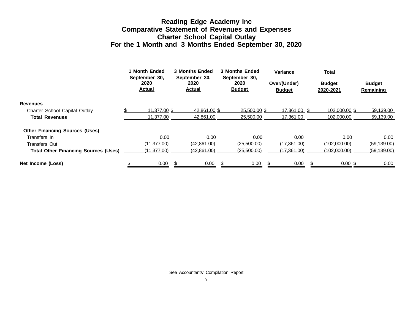# **Reading Edge Academy Inc Comparative Statement of Revenues and Expenses Charter School Capital Outlay For the 1 Month and 3 Months Ended September 30, 2020**

|                                             | 1 Month Ended<br>September 30, | <b>3 Months Ended</b><br>September 30, |     | <b>3 Months Ended</b><br>September 30, | Variance                      | <b>Total</b>               |                                   |
|---------------------------------------------|--------------------------------|----------------------------------------|-----|----------------------------------------|-------------------------------|----------------------------|-----------------------------------|
|                                             | 2020<br><b>Actual</b>          | 2020<br><b>Actual</b>                  |     | 2020<br><b>Budget</b>                  | Over/(Under)<br><b>Budget</b> | <b>Budget</b><br>2020-2021 | <b>Budget</b><br><b>Remaining</b> |
| <b>Revenues</b>                             |                                |                                        |     |                                        |                               |                            |                                   |
| Charter School Capital Outlay               | 11.377.00 \$                   | 42.861.00 \$                           |     | 25,500,00 \$                           | 17.361.00 \$                  | 102,000,00 \$              | 59,139.00                         |
| <b>Total Revenues</b>                       | 11.377.00                      | 42.861.00                              |     | 25,500,00                              | 17.361.00                     | 102.000.00                 | 59,139.00                         |
| <b>Other Financing Sources (Uses)</b>       |                                |                                        |     |                                        |                               |                            |                                   |
| Transfers In                                | 0.00                           | 0.00                                   |     | 0.00                                   | 0.00                          | 0.00                       | 0.00                              |
| <b>Transfers Out</b>                        | (11, 377.00)                   | (42,861.00)                            |     | (25,500.00)                            | (17,361.00)                   | (102,000.00)               | (59, 139.00)                      |
| <b>Total Other Financing Sources (Uses)</b> | (11, 377.00)                   | (42,861.00)                            |     | (25,500.00)                            | (17,361.00)                   | (102,000.00)               | (59, 139.00)                      |
| Net Income (Loss)                           | 0.00                           | 0.00                                   | \$. | 0.00                                   | 0.00                          | $0.00$ \$                  | 0.00                              |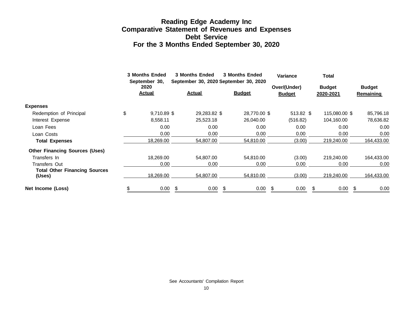# **Reading Edge Academy Inc Comparative Statement of Revenues and Expenses Debt Service For the 3 Months Ended September 30, 2020**

|                                                | <b>3 Months Ended</b><br>September 30, |    | <b>3 Months Ended</b><br><b>3 Months Ended</b><br>September 30, 2020 September 30, 2020 |    |               | <b>Variance</b> |                               |   | <b>Total</b>               |  |                                   |  |
|------------------------------------------------|----------------------------------------|----|-----------------------------------------------------------------------------------------|----|---------------|-----------------|-------------------------------|---|----------------------------|--|-----------------------------------|--|
|                                                | 2020<br><b>Actual</b>                  |    | <b>Actual</b>                                                                           |    | <b>Budget</b> |                 | Over/(Under)<br><b>Budget</b> |   | <b>Budget</b><br>2020-2021 |  | <b>Budget</b><br><b>Remaining</b> |  |
| <b>Expenses</b>                                |                                        |    |                                                                                         |    |               |                 |                               |   |                            |  |                                   |  |
| Redemption of Principal                        | \$<br>9,710.89 \$                      |    | 29,283.82 \$                                                                            |    | 28,770.00 \$  |                 | 513.82 \$                     |   | 115,080.00 \$              |  | 85,796.18                         |  |
| Interest Expense                               | 8,558.11                               |    | 25,523.18                                                                               |    | 26,040.00     |                 | (516.82)                      |   | 104,160.00                 |  | 78,636.82                         |  |
| Loan Fees                                      | 0.00                                   |    | 0.00                                                                                    |    | 0.00          |                 | 0.00                          |   | 0.00                       |  | 0.00                              |  |
| Loan Costs                                     | 0.00                                   |    | 0.00                                                                                    |    | 0.00          |                 | 0.00                          |   | 0.00                       |  | 0.00                              |  |
| <b>Total Expenses</b>                          | 18,269.00                              |    | 54,807.00                                                                               |    | 54.810.00     |                 | (3.00)                        |   | 219,240.00                 |  | 164,433.00                        |  |
| <b>Other Financing Sources (Uses)</b>          |                                        |    |                                                                                         |    |               |                 |                               |   |                            |  |                                   |  |
| Transfers In                                   | 18.269.00                              |    | 54.807.00                                                                               |    | 54.810.00     |                 | (3.00)                        |   | 219,240.00                 |  | 164,433.00                        |  |
| Transfers Out                                  | 0.00                                   |    | 0.00                                                                                    |    | 0.00          |                 | 0.00                          |   | 0.00                       |  | 0.00                              |  |
| <b>Total Other Financing Sources</b><br>(Uses) | 18,269.00                              |    | 54,807.00                                                                               |    | 54,810.00     |                 | (3.00)                        |   | 219,240.00                 |  | 164,433.00                        |  |
| Net Income (Loss)                              | 0.00                                   | \$ | 0.00                                                                                    | \$ | 0.00          | \$              | 0.00                          | S | 0.00                       |  | 0.00                              |  |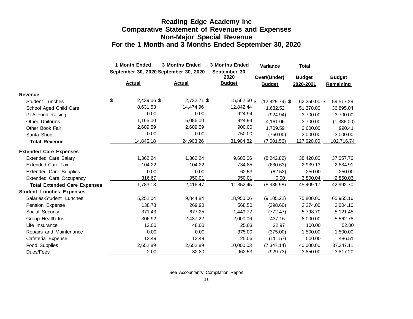# **Reading Edge Academy Inc Comparative Statement of Revenues and Expenses Non-Major Special Revenue For the 1 Month and 3 Months Ended September 30, 2020**

|                                     | 1 Month Ended | <b>3 Months Ended</b>                 | <b>3 Months Ended</b> | Variance                      | <b>Total</b>               |                                   |
|-------------------------------------|---------------|---------------------------------------|-----------------------|-------------------------------|----------------------------|-----------------------------------|
|                                     |               | September 30, 2020 September 30, 2020 | September 30,<br>2020 |                               |                            |                                   |
|                                     | <b>Actual</b> | <b>Actual</b>                         | <b>Budget</b>         | Over/(Under)<br><b>Budget</b> | <b>Budget</b><br>2020-2021 | <b>Budget</b><br><b>Remaining</b> |
| Revenue                             |               |                                       |                       |                               |                            |                                   |
| Student Lunches                     | \$            | 2,439.06 \$<br>2,732.71 \$            | 15,562.50 \$          | $(12,829.79)$ \$              | 62,250.00 \$               | 59,517.29                         |
| School Aged Child Care              | 8.631.53      | 14,474.96                             | 12,842.44             | 1,632.52                      | 51,370.00                  | 36,895.04                         |
| PTA Fund Raising                    |               | 0.00<br>0.00                          | 924.94                | (924.94)                      | 3,700.00                   | 3,700.00                          |
| Other Uniforms                      | 1,165.00      | 5,086.00                              | 924.94                | 4,161.06                      | 3,700.00                   | (1,386.00)                        |
| Other Book Fair                     | 2,609.59      | 2,609.59                              | 900.00                | 1,709.59                      | 3,600.00                   | 990.41                            |
| Santa Shop                          |               | 0.00<br>0.00                          | 750.00                | (750.00)                      | 3,000.00                   | 3,000.00                          |
| <b>Total Revenue</b>                | 14,845.18     | 24,903.26                             | 31,904.82             | (7,001.56)                    | 127,620.00                 | 102,716.74                        |
| <b>Extended Care Expenses</b>       |               |                                       |                       |                               |                            |                                   |
| <b>Extended Care Salary</b>         | 1,362.24      | 1,362.24                              | 9,605.06              | (8,242.82)                    | 38,420.00                  | 37,057.76                         |
| Extended Care Tax                   |               | 104.22<br>104.22                      | 734.85                | (630.63)                      | 2,939.13                   | 2,834.91                          |
| <b>Extended Care Supplies</b>       |               | 0.00<br>0.00                          | 62.53                 | (62.53)                       | 250.00                     | 250.00                            |
| <b>Extended Care Occupancy</b>      |               | 316.67<br>950.01                      | 950.01                | 0.00                          | 3,800.04                   | 2,850.03                          |
| <b>Total Extended Care Expenses</b> | 1,783.13      | 2,416.47                              | 11,352.45             | (8,935.98)                    | 45,409.17                  | 42,992.70                         |
| <b>Student Lunches Expenses</b>     |               |                                       |                       |                               |                            |                                   |
| Salaries-Student Lunches            | 5,252.04      | 9,844.84                              | 18,950.06             | (9, 105.22)                   | 75,800.00                  | 65,955.16                         |
| Pension Expense                     |               | 138.78<br>269.90                      | 568.50                | (298.60)                      | 2,274.00                   | 2,004.10                          |
| Social Security                     |               | 371.43<br>677.25                      | 1,449.72              | (772.47)                      | 5,798.70                   | 5,121.45                          |
| Group Health Ins.                   |               | 306.92<br>2,437.22                    | 2,000.06              | 437.16                        | 8,000.00                   | 5,562.78                          |
| Life Insurance                      |               | 12.00<br>48.00                        | 25.03                 | 22.97                         | 100.00                     | 52.00                             |
| Repairs and Maintenance             |               | 0.00<br>0.00                          | 375.00                | (375.00)                      | 1,500.00                   | 1,500.00                          |
| Cafeteria Expense                   |               | 13.49<br>13.49                        | 125.06                | (111.57)                      | 500.00                     | 486.51                            |
| Food Supplies                       | 2,652.89      | 2,652.89                              | 10,000.03             | (7, 347.14)                   | 40,000.00                  | 37,347.11                         |
| Dues/Fees                           |               | 2.00<br>32.80                         | 962.53                | (929.73)                      | 3,850.00                   | 3,817.20                          |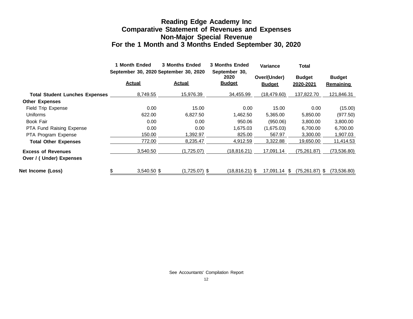# **Reading Edge Academy Inc Comparative Statement of Revenues and Expenses Non-Major Special Revenue For the 1 Month and 3 Months Ended September 30, 2020**

|                                       | <b>Month Ended</b> | <b>3 Months Ended</b>                 | <b>3 Months Ended</b>                  | <b>Variance</b> | <b>Total</b>               |                            |
|---------------------------------------|--------------------|---------------------------------------|----------------------------------------|-----------------|----------------------------|----------------------------|
|                                       |                    | September 30, 2020 September 30, 2020 | September 30,<br>2020<br><b>Budget</b> | Over/(Under)    | <b>Budget</b><br>2020-2021 | <b>Budget</b><br>Remaining |
|                                       | <b>Actual</b>      | <b>Actual</b>                         |                                        | <b>Budget</b>   |                            |                            |
| <b>Total Student Lunches Expenses</b> | 8,749.55           | 15,976.39                             | 34,455.99                              | (18, 479.60)    | 137,822.70                 | 121,846.31                 |
| <b>Other Expenses</b>                 |                    |                                       |                                        |                 |                            |                            |
| Field Trip Expense                    | 0.00               | 15.00                                 | 0.00                                   | 15.00           | 0.00                       | (15.00)                    |
| <b>Uniforms</b>                       | 622.00             | 6.827.50                              | 1,462.50                               | 5,365.00        | 5,850.00                   | (977.50)                   |
| Book Fair                             | 0.00               | 0.00                                  | 950.06                                 | (950.06)        | 3,800.00                   | 3,800.00                   |
| PTA Fund Raising Expense              | 0.00               | 0.00                                  | 1,675.03                               | (1,675.03)      | 6,700.00                   | 6,700.00                   |
| PTA Program Expense                   | 150.00             | 1,392.97                              | 825.00                                 | 567.97          | 3,300.00                   | 1,907.03                   |
| <b>Total Other Expenses</b>           | 772.00             | 8.235.47                              | 4.912.59                               | 3,322.88        | 19,650.00                  | 11,414.53                  |
| <b>Excess of Revenues</b>             | 3,540.50           | (1,725.07)                            | (18,816.21)                            | 17,091.14       | (75,261.87)                | (73, 536.80)               |
| Over / (Under) Expenses               |                    |                                       |                                        |                 |                            |                            |
| Net Income (Loss)                     | 3,540.50 \$        | $(1,725.07)$ \$                       | (18,816.21) \$                         | 17,091.14 \$    | $(75,261.87)$ \$           | (73,536.80)                |